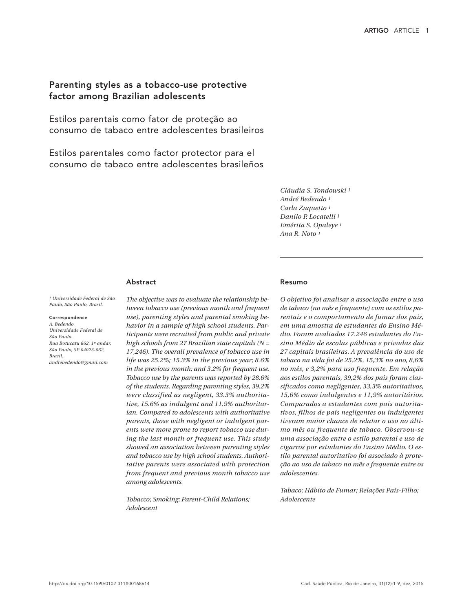# Parenting styles as a tobacco-use protective factor among Brazilian adolescents

Estilos parentais como fator de proteção ao consumo de tabaco entre adolescentes brasileiros

Estilos parentales como factor protector para el consumo de tabaco entre adolescentes brasileños

> *Cláudia S. Tondowski 1 André Bedendo 1 Carla Zuquetto 1 Danilo P. Locatelli 1 Emérita S. Opaleye 1 Ana R. Noto 1*

# Abstract

*1 Universidade Federal de São Paulo, São Paulo, Brasil.*

#### **Correspondence**

*A. Bedendo Universidade Federal de São Paulo. Rua Botucatu 862, 1º andar, São Paulo, SP 04023-062, Brasil. andrebedendo@gmail.com*

*The objective was to evaluate the relationship between tobacco use (previous month and frequent use), parenting styles and parental smoking behavior in a sample of high school students. Participants were recruited from public and private high schools from 27 Brazilian state capitals (N = 17,246). The overall prevalence of tobacco use in life was 25.2%; 15.3% in the previous year; 8.6% in the previous month; and 3.2% for frequent use. Tobacco use by the parents was reported by 28.6% of the students. Regarding parenting styles, 39.2% were classified as negligent, 33.3% authoritative, 15.6% as indulgent and 11.9% authoritarian. Compared to adolescents with authoritative parents, those with negligent or indulgent parents were more prone to report tobacco use during the last month or frequent use. This study showed an association between parenting styles and tobacco use by high school students. Authoritative parents were associated with protection from frequent and previous month tobacco use among adolescents.*

*Tobacco; Smoking; Parent-Child Relations; Adolescent*

#### Resumo

*O objetivo foi analisar a associação entre o uso de tabaco (no mês e frequente) com os estilos parentais e o comportamento de fumar dos pais, em uma amostra de estudantes do Ensino Médio. Foram avaliados 17.246 estudantes do Ensino Médio de escolas públicas e privadas das 27 capitais brasileiras. A prevalência do uso de tabaco na vida foi de 25,2%, 15,3% no ano, 8,6% no mês, e 3,2% para uso frequente. Em relação aos estilos parentais, 39,2% dos pais foram classificados como negligentes, 33,3% autoritativos, 15,6% como indulgentes e 11,9% autoritários. Comparados a estudantes com pais autoritativos, filhos de pais negligentes ou indulgentes tiveram maior chance de relatar o uso no último mês ou frequente de tabaco. Observou-se uma associação entre o estilo parental e uso de cigarros por estudantes do Ensino Médio. O estilo parental autoritativo foi associado à proteção ao uso de tabaco no mês e frequente entre os adolescentes.*

*Tabaco; Hábito de Fumar; Relações Pais-Filho; Adolescente*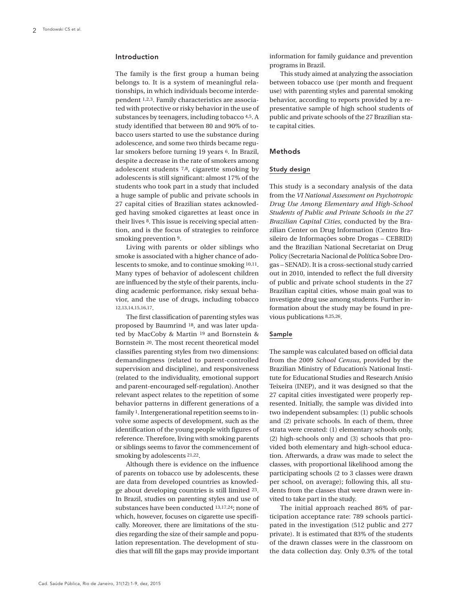# Introduction

The family is the first group a human being belongs to. It is a system of meaningful relationships, in which individuals become interdependent 1,2,3. Family characteristics are associated with protective or risky behavior in the use of substances by teenagers, including tobacco 4,5. A study identified that between 80 and 90% of tobacco users started to use the substance during adolescence, and some two thirds became regular smokers before turning 19 years 6. In Brazil, despite a decrease in the rate of smokers among adolescent students 7,8, cigarette smoking by adolescents is still significant: almost 17% of the students who took part in a study that included a huge sample of public and private schools in 27 capital cities of Brazilian states acknowledged having smoked cigarettes at least once in their lives 8. This issue is receiving special attention, and is the focus of strategies to reinforce smoking prevention 9.

Living with parents or older siblings who smoke is associated with a higher chance of adolescents to smoke, and to continue smoking 10,11. Many types of behavior of adolescent children are influenced by the style of their parents, including academic performance, risky sexual behavior, and the use of drugs, including tobacco 12,13,14,15,16,17.

The first classification of parenting styles was proposed by Baumrind 18, and was later updated by MacCoby & Martin 19 and Bornstein & Bornstein 20. The most recent theoretical model classifies parenting styles from two dimensions: demandingness (related to parent-controlled supervision and discipline), and responsiveness (related to the individuality, emotional support and parent-encouraged self-regulation). Another relevant aspect relates to the repetition of some behavior patterns in different generations of a family 1. Intergenerational repetition seems to involve some aspects of development, such as the identification of the young people with figures of reference. Therefore, living with smoking parents or siblings seems to favor the commencement of smoking by adolescents 21,22.

Although there is evidence on the influence of parents on tobacco use by adolescents, these are data from developed countries as knowledge about developing countries is still limited 23. In Brazil, studies on parenting styles and use of substances have been conducted 13,17,24; none of which, however, focuses on cigarette use specifically. Moreover, there are limitations of the studies regarding the size of their sample and population representation. The development of studies that will fill the gaps may provide important

information for family guidance and prevention programs in Brazil.

This study aimed at analyzing the association between tobacco use (per month and frequent use) with parenting styles and parental smoking behavior, according to reports provided by a representative sample of high school students of public and private schools of the 27 Brazilian state capital cities.

# Methods

#### Study design

This study is a secondary analysis of the data from the *VI National Assessment on Psychotropic Drug Use Among Elementary and High-School Students of Public and Private Schools in the 27 Brazilian Capital Cities*, conducted by the Brazilian Center on Drug Information (Centro Brasileiro de Informações sobre Drogas – CEBRID) and the Brazilian National Secretariat on Drug Policy (Secretaria Nacional de Política Sobre Drogas – SENAD). It is a cross-sectional study carried out in 2010, intended to reflect the full diversity of public and private school students in the 27 Brazilian capital cities, whose main goal was to investigate drug use among students. Further information about the study may be found in previous publications 8,25,26.

#### Sample

The sample was calculated based on official data from the 2009 *School Census,* provided by the Brazilian Ministry of Education's National Institute for Educational Studies and Research Anísio Teixeira (INEP), and it was designed so that the 27 capital cities investigated were properly represented. Initially, the sample was divided into two independent subsamples: (1) public schools and (2) private schools. In each of them, three strata were created: (1) elementary schools only, (2) high-schools only and (3) schools that provided both elementary and high-school education. Afterwards, a draw was made to select the classes, with proportional likelihood among the participating schools (2 to 3 classes were drawn per school, on average); following this, all students from the classes that were drawn were invited to take part in the study.

The initial approach reached 86% of participation acceptance rate: 789 schools participated in the investigation (512 public and 277 private). It is estimated that 83% of the students of the drawn classes were in the classroom on the data collection day. Only 0.3% of the total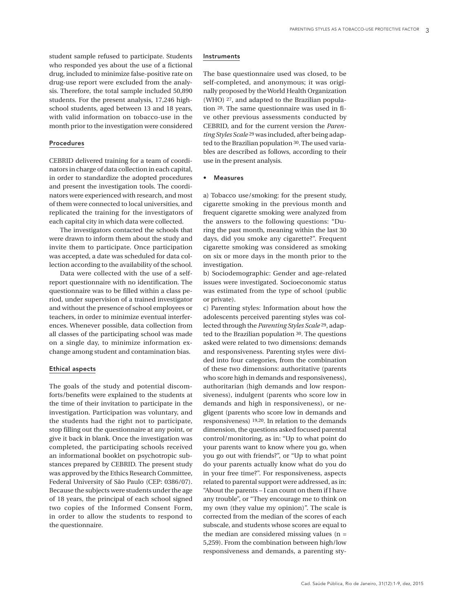student sample refused to participate. Students who responded yes about the use of a fictional drug, included to minimize false-positive rate on drug-use report were excluded from the analysis. Therefore, the total sample included 50,890 students. For the present analysis, 17,246 highschool students, aged between 13 and 18 years, with valid information on tobacco-use in the month prior to the investigation were considered

#### Procedures

CEBRID delivered training for a team of coordinators in charge of data collection in each capital, in order to standardize the adopted procedures and present the investigation tools. The coordinators were experienced with research, and most of them were connected to local universities, and replicated the training for the investigators of each capital city in which data were collected.

The investigators contacted the schools that were drawn to inform them about the study and invite them to participate. Once participation was accepted, a date was scheduled for data collection according to the availability of the school.

Data were collected with the use of a selfreport questionnaire with no identification. The questionnaire was to be filled within a class period, under supervision of a trained investigator and without the presence of school employees or teachers, in order to minimize eventual interferences. Whenever possible, data collection from all classes of the participating school was made on a single day, to minimize information exchange among student and contamination bias.

#### Ethical aspects

The goals of the study and potential discomforts/benefits were explained to the students at the time of their invitation to participate in the investigation. Participation was voluntary, and the students had the right not to participate, stop filling out the questionnaire at any point, or give it back in blank. Once the investigation was completed, the participating schools received an informational booklet on psychotropic substances prepared by CEBRID. The present study was approved by the Ethics Research Committee, Federal University of São Paulo (CEP: 0386/07). Because the subjects were students under the age of 18 years, the principal of each school signed two copies of the Informed Consent Form, in order to allow the students to respond to the questionnaire.

# Instruments

The base questionnaire used was closed, to be self-completed, and anonymous; it was originally proposed by the World Health Organization (WHO) 27, and adapted to the Brazilian population 28. The same questionnaire was used in five other previous assessments conducted by CEBRID, and for the current version the *Parenting Styles Scale* 29 was included, after being adapted to the Brazilian population 30. The used variables are described as follows, according to their use in the present analysis.

#### **Measures**

a) Tobacco use/smoking: for the present study, cigarette smoking in the previous month and frequent cigarette smoking were analyzed from the answers to the following questions: "During the past month, meaning within the last 30 days, did you smoke any cigarette?". Frequent cigarette smoking was considered as smoking on six or more days in the month prior to the investigation.

b) Sociodemographic: Gender and age-related issues were investigated. Socioeconomic status was estimated from the type of school (public or private).

c) Parenting styles: Information about how the adolescents perceived parenting styles was collected through the *Parenting Styles Scale* 29, adapted to the Brazilian population 30. The questions asked were related to two dimensions: demands and responsiveness. Parenting styles were divided into four categories, from the combination of these two dimensions: authoritative (parents who score high in demands and responsiveness), authoritarian (high demands and low responsiveness), indulgent (parents who score low in demands and high in responsiveness), or negligent (parents who score low in demands and responsiveness) 19,20. In relation to the demands dimension, the questions asked focused parental control/monitoring, as in: "Up to what point do your parents want to know where you go, when you go out with friends?", or "Up to what point do your parents actually know what do you do in your free time?". For responsiveness, aspects related to parental support were addressed, as in: "About the parents – I can count on them if I have any trouble", or "They encourage me to think on my own (they value my opinion)". The scale is corrected from the median of the scores of each subscale, and students whose scores are equal to the median are considered missing values  $(n =$ 5,259). From the combination between high/low responsiveness and demands, a parenting sty-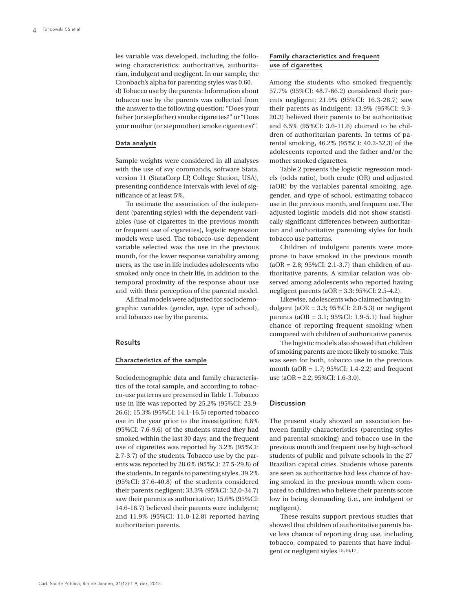les variable was developed, including the following characteristics: authoritative, authoritarian, indulgent and negligent. In our sample, the Cronbach's alpha for parenting styles was 0.60. d) Tobacco use by the parents: Information about tobacco use by the parents was collected from the answer to the following question: "Does your father (or stepfather) smoke cigarettes?" or "Does your mother (or stepmother) smoke cigarettes?".

#### Data analysis

Sample weights were considered in all analyses with the use of svy commands, software Stata, version 11 (StataCorp LP, College Station, USA), presenting confidence intervals with level of significance of at least 5%.

To estimate the association of the independent (parenting styles) with the dependent variables (use of cigarettes in the previous month or frequent use of cigarettes), logistic regression models were used. The tobacco-use dependent variable selected was the use in the previous month, for the lower response variability among users, as the use in life includes adolescents who smoked only once in their life, in addition to the temporal proximity of the response about use and with their perception of the parental model.

All final models were adjusted for sociodemographic variables (gender, age, type of school), and tobacco use by the parents.

#### Results

#### Characteristics of the sample

Sociodemographic data and family characteristics of the total sample, and according to tobacco-use patterns are presented in Table 1. Tobacco use in life was reported by 25.2% (95%CI: 23.9- 26.6); 15.3% (95%CI: 14.1-16.5) reported tobacco use in the year prior to the investigation; 8.6% (95%CI: 7.6-9.6) of the students stated they had smoked within the last 30 days; and the frequent use of cigarettes was reported by 3.2% (95%CI: 2.7-3.7) of the students. Tobacco use by the parents was reported by 28.6% (95%CI: 27.5-29.8) of the students. In regards to parenting styles, 39.2% (95%CI: 37.6-40.8) of the students considered their parents negligent; 33.3% (95%CI: 32.0-34.7) saw their parents as authoritative; 15.6% (95%CI: 14.6-16.7) believed their parents were indulgent; and 11.9% (95%CI: 11.0-12.8) reported having authoritarian parents.

# Family characteristics and frequent use of cigarettes

Among the students who smoked frequently, 57.7% (95%CI: 48.7-66.2) considered their parents negligent; 21.9% (95%CI: 16.3-28.7) saw their parents as indulgent; 13.9% (95%CI: 9.3- 20.3) believed their parents to be authoritative; and 6.5% (95%CI: 3.6-11.6) claimed to be children of authoritarian parents. In terms of parental smoking, 46.2% (95%CI: 40.2-52.3) of the adolescents reported and the father and/or the mother smoked cigarettes.

Table 2 presents the logistic regression models (odds ratio), both crude (OR) and adjusted (aOR) by the variables parental smoking, age, gender, and type of school, estimating tobacco use in the previous month, and frequent use. The adjusted logistic models did not show statistically significant differences between authoritarian and authoritative parenting styles for both tobacco use patterns.

Children of indulgent parents were more prone to have smoked in the previous month  $(aOR = 2.8; 95\% CI: 2.1-3.7)$  than children of authoritative parents. A similar relation was observed among adolescents who reported having negligent parents (aOR = 3.3; 95%CI: 2.5-4.2).

Likewise, adolescents who claimed having indulgent ( $aOR = 3.3$ ;  $95\%CI: 2.0-5.3$ ) or negligent parents (aOR = 3.1; 95%CI: 1.9-5.1) had higher chance of reporting frequent smoking when compared with children of authoritative parents.

The logistic models also showed that children of smoking parents are more likely to smoke. This was seen for both, tobacco use in the previous month (aOR = 1.7; 95%CI: 1.4-2.2) and frequent use (aOR = 2.2; 95%CI: 1.6-3.0).

#### **Discussion**

The present study showed an association between family characteristics (parenting styles and parental smoking) and tobacco use in the previous month and frequent use by high-school students of public and private schools in the 27 Brazilian capital cities. Students whose parents are seen as authoritative had less chance of having smoked in the previous month when compared to children who believe their parents score low in being demanding (i.e., are indulgent or negligent).

These results support previous studies that showed that children of authoritative parents have less chance of reporting drug use, including tobacco, compared to parents that have indulgent or negligent styles 15,16,17.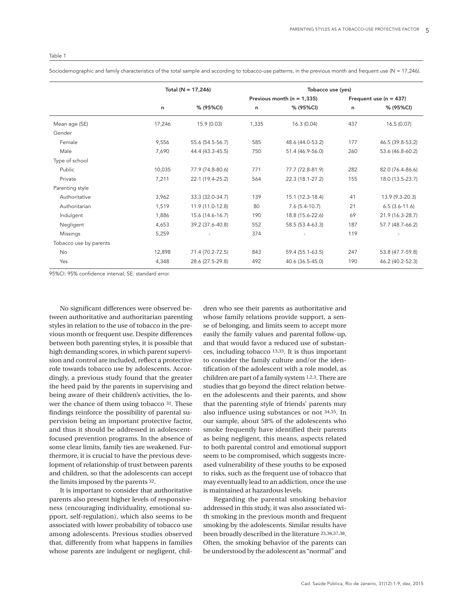|                        | Total ( $N = 17,246$ ) |                  | Tobacco use (yes) |                                |     |                            |
|------------------------|------------------------|------------------|-------------------|--------------------------------|-----|----------------------------|
|                        |                        |                  |                   | Previous month ( $n = 1,335$ ) |     | Frequent use ( $n = 437$ ) |
|                        | n                      | % (95%CI)        | n                 | % (95%CI)                      | n   | % (95%CI)                  |
| Mean age (SE)          | 17,246                 | 15.9 (0.03)      | 1,335             | 16.3(0.04)                     | 437 | 16.5(0.07)                 |
| Gender                 |                        |                  |                   |                                |     |                            |
| Female                 | 9,556                  | 55.6 (54.5-56.7) | 585               | 48.6 (44.0-53.2)               | 177 | 46.5 (39.8-53.2)           |
| Male                   | 7,690                  | 44.4 (43.3-45.5) | 750               | 51.4 (46.9-56.0)               | 260 | 53.6 (46.8-60.2)           |
| Type of school         |                        |                  |                   |                                |     |                            |
| Public                 | 10,035                 | 77.9 (74.8-80.6) | 771               | 77.7 (72.8-81.9)               | 282 | 82.0 (76.4-86.6)           |
| Private                | 7,211                  | 22.1 (19.4-25.2) | 564               | 22.3 (18.1-27.2)               | 155 | 18.0 (13.5-23.7)           |
| Parenting style        |                        |                  |                   |                                |     |                            |
| Authoritative          | 3,962                  | 33.3 (32.0-34.7) | 139               | 15.1 (12.3-18.4)               | 41  | 13.9 (9.3-20.3)            |
| Authoritarian          | 1,519                  | 11.9 (11.0-12.8) | 80                | $7.6(5.4-10.7)$                | 21  | $6.5(3.6-11.6)$            |
| Indulgent              | 1,886                  | 15.6 (14.6-16.7) | 190               | 18.8 (15.6-22.6)               | 69  | 21.9 (16.3-28.7)           |
| Negligent              | 4,653                  | 39.2 (37.6-40.8) | 552               | 58.5 (53.4-63.3)               | 187 | 57.7 (48.7-66.2)           |
| Missings               | 5,259                  |                  | 374               |                                | 119 |                            |
| Tobacco use by parents |                        |                  |                   |                                |     |                            |
| No                     | 12,898                 | 71.4 (70.2-72.5) | 843               | 59.4 (55.1-63.5)               | 247 | 53.8 (47.7-59.8)           |
| Yes                    | 4,348                  | 28.6 (27.5-29.8) | 492               | 40.6 (36.5-45.0)               | 190 | 46.2 (40.2-52.3)           |

Sociodemographic and family characteristics of the total sample and according to tobacco-use patterns, in the previous month and frequent use (N = 17,246).

95%CI: 95% confidence interval; SE: standard error.

No significant differences were observed between authoritative and authoritarian parenting styles in relation to the use of tobacco in the previous month or frequent use. Despite differences between both parenting styles, it is possible that high demanding scores, in which parent supervision and control are included, reflect a protective role towards tobacco use by adolescents. Accordingly, a previous study found that the greater the heed paid by the parents in supervising and being aware of their children's activities, the lower the chance of them using tobacco 31. These findings reinforce the possibility of parental supervision being an important protective factor, and thus it should be addressed in adolescentfocused prevention programs. In the absence of some clear limits, family ties are weakened. Furthermore, it is crucial to have the previous development of relationship of trust between parents and children, so that the adolescents can accept the limits imposed by the parents 32.

It is important to consider that authoritative parents also present higher levels of responsiveness (encouraging individuality, emotional support, self-regulation), which also seems to be associated with lower probability of tobacco use among adolescents. Previous studies observed that, differently from what happens in families whose parents are indulgent or negligent, children who see their parents as authoritative and whose family relations provide support, a sense of belonging, and limits seem to accept more easily the family values and parental follow-up, and that would favor a reduced use of substances, including tobacco 13,33. It is thus important to consider the family culture and/or the identification of the adolescent with a role model, as children are part of a family system 1,2,3. There are studies that go beyond the direct relation between the adolescents and their parents, and show that the parenting style of friends' parents may also influence using substances or not 34,35. In our sample, about 58% of the adolescents who smoke frequently have identified their parents as being negligent, this means, aspects related to both parental control and emotional support seem to be compromised, which suggests increased vulnerability of these youths to be exposed to risks, such as the frequent use of tobacco that may eventually lead to an addiction, once the use is maintained at hazardous levels.

Regarding the parental smoking behavior addressed in this study, it was also associated with smoking in the previous month and frequent smoking by the adolescents. Similar results have been broadly described in the literature 23,36,37,38. Often, the smoking behavior of the parents can be understood by the adolescent as "normal" and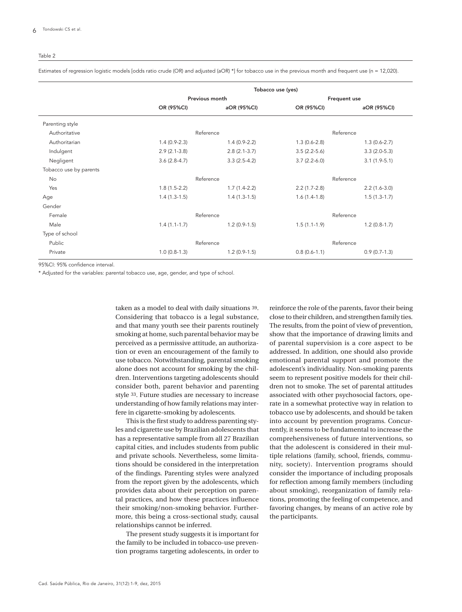#### Table 2

Estimates of regression logistic models [odds ratio crude (OR) and adjusted (aOR) \*] for tobacco use in the previous month and frequent use (n = 12,020).

|                        | Tobacco use (yes) |                |                |                |  |  |  |
|------------------------|-------------------|----------------|----------------|----------------|--|--|--|
|                        |                   | Previous month | Frequent use   |                |  |  |  |
|                        | OR (95%CI)        | aOR (95%CI)    | OR (95%CI)     | aOR (95%CI)    |  |  |  |
| Parenting style        |                   |                |                |                |  |  |  |
| Authoritative          |                   | Reference      | Reference      |                |  |  |  |
| Authoritarian          | $1.4(0.9-2.3)$    | $1.4(0.9-2.2)$ | $1.3(0.6-2.8)$ | $1.3(0.6-2.7)$ |  |  |  |
| Indulgent              | $2.9(2.1-3.8)$    | $2.8(2.1-3.7)$ | $3.5(2.2-5.6)$ | $3.3(2.0-5.3)$ |  |  |  |
| Negligent              | $3.6(2.8-4.7)$    | $3.3(2.5-4.2)$ | $3.7(2.2-6.0)$ | $3.1(1.9-5.1)$ |  |  |  |
| Tobacco use by parents |                   |                |                |                |  |  |  |
| <b>No</b>              |                   | Reference      | Reference      |                |  |  |  |
| Yes                    | $1.8(1.5-2.2)$    | $1.7(1.4-2.2)$ | $2.2(1.7-2.8)$ | $2.2(1.6-3.0)$ |  |  |  |
| Age                    | $1.4(1.3-1.5)$    | $1.4(1.3-1.5)$ | $1.6(1.4-1.8)$ | $1.5(1.3-1.7)$ |  |  |  |
| Gender                 |                   |                |                |                |  |  |  |
| Female                 |                   | Reference      | Reference      |                |  |  |  |
| Male                   | $1.4(1.1-1.7)$    | $1.2(0.9-1.5)$ | $1.5(1.1-1.9)$ | $1.2(0.8-1.7)$ |  |  |  |
| Type of school         |                   |                |                |                |  |  |  |
| Public                 |                   | Reference      | Reference      |                |  |  |  |
| Private                | $1.0(0.8-1.3)$    | $1.2(0.9-1.5)$ | $0.8(0.6-1.1)$ | $0.9(0.7-1.3)$ |  |  |  |

95%CI: 95% confidence interval.

\* Adjusted for the variables: parental tobacco use, age, gender, and type of school.

taken as a model to deal with daily situations 39. Considering that tobacco is a legal substance, and that many youth see their parents routinely smoking at home, such parental behavior may be perceived as a permissive attitude, an authorization or even an encouragement of the family to use tobacco. Notwithstanding, parental smoking alone does not account for smoking by the children. Interventions targeting adolescents should consider both, parent behavior and parenting style 33. Future studies are necessary to increase understanding of how family relations may interfere in cigarette-smoking by adolescents.

This is the first study to address parenting styles and cigarette use by Brazilian adolescents that has a representative sample from all 27 Brazilian capital cities, and includes students from public and private schools. Nevertheless, some limitations should be considered in the interpretation of the findings. Parenting styles were analyzed from the report given by the adolescents, which provides data about their perception on parental practices, and how these practices influence their smoking/non-smoking behavior. Furthermore, this being a cross-sectional study, causal relationships cannot be inferred.

The present study suggests it is important for the family to be included in tobacco-use prevention programs targeting adolescents, in order to

reinforce the role of the parents, favor their being close to their children, and strengthen family ties. The results, from the point of view of prevention, show that the importance of drawing limits and of parental supervision is a core aspect to be addressed. In addition, one should also provide emotional parental support and promote the adolescent's individuality. Non-smoking parents seem to represent positive models for their children not to smoke. The set of parental attitudes associated with other psychosocial factors, operate in a somewhat protective way in relation to tobacco use by adolescents, and should be taken into account by prevention programs. Concurrently, it seems to be fundamental to increase the comprehensiveness of future interventions, so that the adolescent is considered in their multiple relations (family, school, friends, community, society). Intervention programs should consider the importance of including proposals for reflection among family members (including about smoking), reorganization of family relations, promoting the feeling of competence, and favoring changes, by means of an active role by the participants.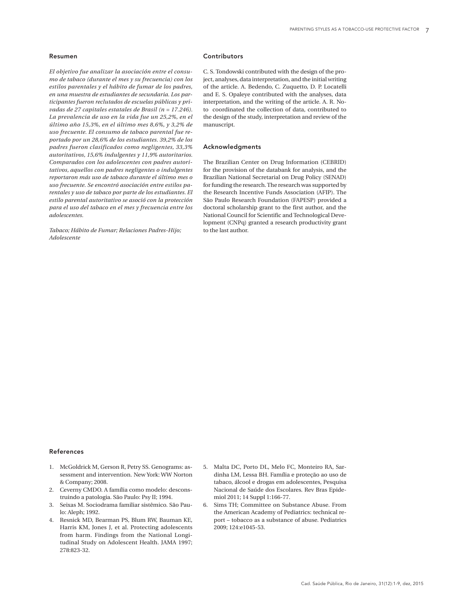#### Resumen

*El objetivo fue analizar la asociación entre el consumo de tabaco (durante el mes y su frecuencia) con los estilos parentales y el hábito de fumar de los padres, en una muestra de estudiantes de secundaria. Los participantes fueron reclutados de escuelas públicas y privadas de 27 capitales estatales de Brasil (n = 17.246). La prevalencia de uso en la vida fue un 25,2%, en el último año 15,3%, en el último mes 8,6%, y 3,2% de uso frecuente. El consumo de tabaco parental fue reportado por un 28,6% de los estudiantes. 39,2% de los padres fueron clasificados como negligentes, 33,3% autoritativos, 15,6% indulgentes y 11,9% autoritarios. Comparados con los adolescentes con padres autoritativos, aquellos con padres negligentes o indulgentes reportaron más uso de tabaco durante el último mes o uso frecuente. Se encontró asociación entre estilos parentales y uso de tabaco por parte de los estudiantes. El estilo parental autoritativo se asoció con la protección para el uso del tabaco en el mes y frecuencia entre los adolescentes.*

*Tabaco; Hábito de Fumar; Relaciones Padres-Hijo; Adolescente*

#### Contributors

C. S. Tondowski contributed with the design of the project, analyses, data interpretation, and the initial writing of the article. A. Bedendo, C. Zuquetto, D. P. Locatelli and E. S. Opaleye contributed with the analyses, data interpretation, and the writing of the article. A. R. Noto coordinated the collection of data, contributed to the design of the study, interpretation and review of the manuscript.

#### Acknowledgments

The Brazilian Center on Drug Information (CEBRID) for the provision of the databank for analysis, and the Brazilian National Secretarial on Drug Policy (SENAD) for funding the research. The research was supported by the Research Incentive Funds Association (AFIP). The São Paulo Research Foundation (FAPESP) provided a doctoral scholarship grant to the first author, and the National Council for Scientific and Technological Development (CNPq) granted a research productivity grant to the last author.

# References

- 1. McGoldrick M, Gerson R, Petry SS. Genograms: assessment and intervention. New York: WW Norton & Company; 2008.
- 2. Ceverny CMDO. A família como modelo: desconstruindo a patologia. São Paulo: Psy II; 1994.
- 3. Seixas M. Sociodrama familiar sistêmico. São Paulo: Aleph; 1992.
- 4. Resnick MD, Bearman PS, Blum RW, Bauman KE, Harris KM, Jones J, et al. Protecting adolescents from harm. Findings from the National Longitudinal Study on Adolescent Health. JAMA 1997; 278:823-32.
- 5. Malta DC, Porto DL, Melo FC, Monteiro RA, Sardinha LM, Lessa BH. Família e proteção ao uso de tabaco, álcool e drogas em adolescentes, Pesquisa Nacional de Saúde dos Escolares. Rev Bras Epidemiol 2011; 14 Suppl 1:166-77.
- 6. Sims TH; Committee on Substance Abuse. From the American Academy of Pediatrics: technical report – tobacco as a substance of abuse. Pediatrics 2009; 124:e1045-53.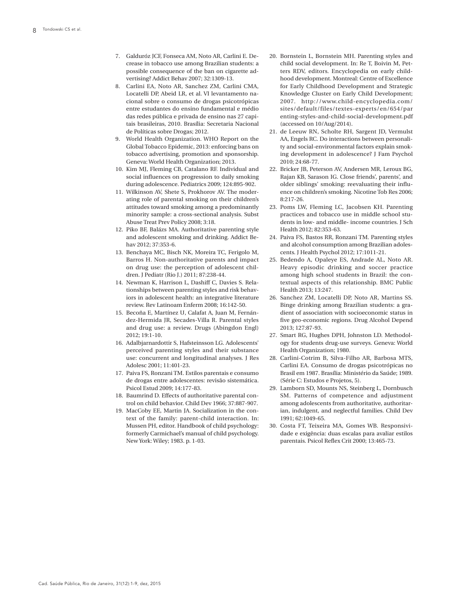- 7. Galduróz JCF, Fonseca AM, Noto AR, Carlini E. Decrease in tobacco use among Brazilian students: a possible consequence of the ban on cigarette advertising? Addict Behav 2007; 32:1309-13.
- 8. Carlini EA, Noto AR, Sanchez ZM, Carlini CMA, Locatelli DP, Abeid LR, et al. VI levantamento nacional sobre o consumo de drogas psicotrópicas entre estudantes do ensino fundamental e médio das redes pública e privada de ensino nas 27 capitais brasileiras, 2010. Brasília: Secretaria Nacional de Políticas sobre Drogas; 2012.
- 9. World Health Organization. WHO Report on the Global Tobacco Epidemic, 2013: enforcing bans on tobacco advertising, promotion and sponsorship. Geneva: World Health Organization; 2013.
- 10. Kim MJ, Fleming CB, Catalano RF. Individual and social influences on progression to daily smoking during adolescence. Pediatrics 2009; 124:895-902.
- 11. Wilkinson AV, Shete S, Prokhorov AV. The moderating role of parental smoking on their children's attitudes toward smoking among a predominantly minority sample: a cross-sectional analysis. Subst Abuse Treat Prev Policy 2008; 3:18.
- 12. Piko BF, Balázs MA. Authoritative parenting style and adolescent smoking and drinking. Addict Behav 2012; 37:353-6.
- 13. Benchaya MC, Bisch NK, Moreira TC, Ferigolo M, Barros H. Non-authoritative parents and impact on drug use: the perception of adolescent children. J Pediatr (Rio J.) 2011; 87:238-44.
- 14. Newman K, Harrison L, Dashiff C, Davies S. Relationships between parenting styles and risk behaviors in adolescent health: an integrative literature review. Rev Latinoam Enferm 2008; 16:142-50.
- 15. Becoña E, Martínez U, Calafat A, Juan M, Fernández-Hermida JR, Secades-Villa R. Parental styles and drug use: a review. Drugs (Abingdon Engl) 2012; 19:1-10.
- 16. Adalbjarnardottir S, Hafsteinsson LG. Adolescents' perceived parenting styles and their substance use: concurrent and longitudinal analyses. J Res Adolesc 2001; 11:401-23.
- 17. Paiva FS, Ronzani TM. Estilos parentais e consumo de drogas entre adolescentes: revisão sistemática. Psicol Estud 2009; 14:177-83.
- 18. Baumrind D. Effects of authoritative parental control on child behavior. Child Dev 1966; 37:887-907.
- 19. MacCoby EE, Martin JA. Socialization in the context of the family: parent-child interaction. In: Mussen PH, editor. Handbook of child psychology: formerly Carmichael's manual of child psychology. New York: Wiley; 1983. p. 1-03.
- 20. Bornstein L, Bornstein MH. Parenting styles and child social development. In: Re T, Boivin M, Petters RDV, editors. Encyclopedia on early childhood development. Montreal: Centre of Excellence for Early Childhood Development and Strategic Knowledge Cluster on Early Child Development; 2007. http://www.child-encyclopedia.com/ sites/default/files/textes-experts/en/654/par enting-styles-and-child-social-development.pdf (accessed on 10/Aug/2014).
- 21. de Leeuw RN, Scholte RH, Sargent JD, Vermulst AA, Engels RC. Do interactions between personality and social-environmental factors explain smoking development in adolescence? J Fam Psychol 2010; 24:68-77.
- 22. Bricker JB, Peterson AV, Andersen MR, Leroux BG, Rajan KB, Sarason IG. Close friends', parents', and older siblings' smoking: reevaluating their influence on children's smoking. Nicotine Tob Res 2006; 8:217-26.
- 23. Poms LW, Fleming LC, Jacobsen KH. Parenting practices and tobacco use in middle school students in low- and middle- income countries. J Sch Health 2012; 82:353-63.
- 24. Paiva FS, Bastos RR, Ronzani TM. Parenting styles and alcohol consumption among Brazilian adolescents. J Health Psychol 2012; 17:1011-21.
- 25. Bedendo A, Opaleye ES, Andrade AL, Noto AR. Heavy episodic drinking and soccer practice among high school students in Brazil: the contextual aspects of this relationship. BMC Public Health 2013; 13:247.
- 26. Sanchez ZM, Locatelli DP, Noto AR, Martins SS. Binge drinking among Brazilian students: a gradient of association with socioeconomic status in five geo-economic regions. Drug Alcohol Depend 2013; 127:87-93.
- 27. Smart RG, Hughes DPH, Johnston LD. Methodology for students drug-use surveys. Geneva: World Health Organization; 1980.
- 28. Carlini-Cotrim B, Silva-Filho AR, Barbosa MTS, Carlini EA. Consumo de drogas psicotrópicas no Brasil em 1987. Brasília: Ministério da Saúde; 1989. (Série C: Estudos e Projetos, 5).
- 29. Lamborn SD, Mounts NS, Steinberg L, Dornbusch SM. Patterns of competence and adjustment among adolescents from authoritative, authoritarian, indulgent, and neglectful families. Child Dev 1991; 62:1049-65.
- 30. Costa FT, Teixeira MA, Gomes WB. Responsividade e exigência: duas escalas para avaliar estilos parentais. Psicol Reflex Crit 2000; 13:465-73.